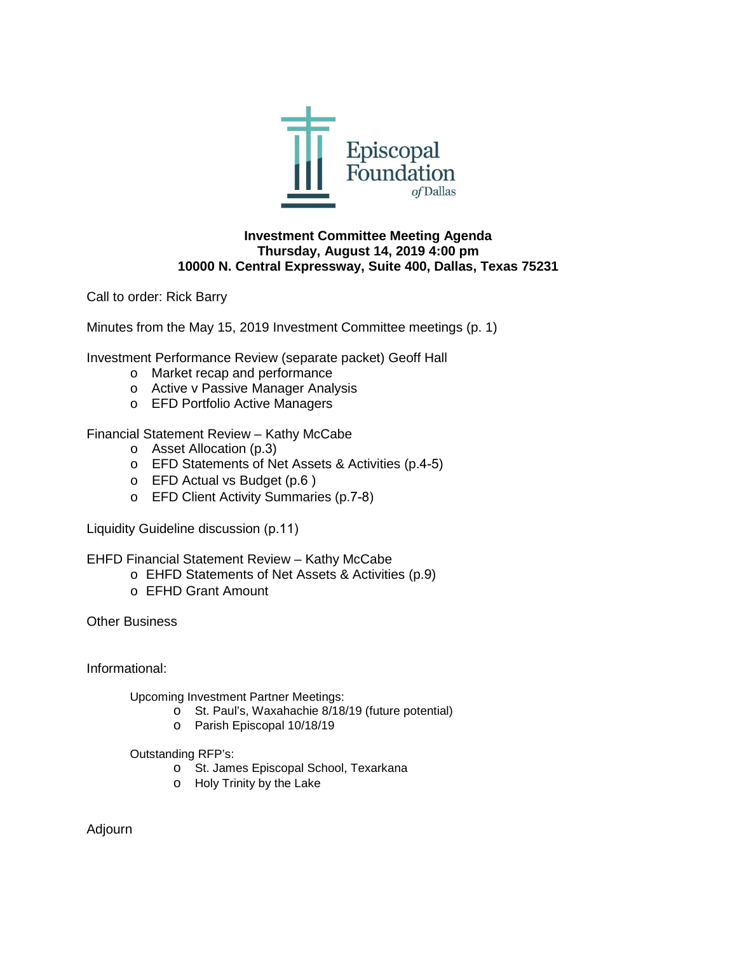

#### **Investment Committee Meeting Agenda Thursday, August 14, 2019 4:00 pm 10000 N. Central Expressway, Suite 400, Dallas, Texas 75231**

Call to order: Rick Barry

Minutes from the May 15, 2019 Investment Committee meetings (p. 1)

Investment Performance Review (separate packet) Geoff Hall

- o Market recap and performance
- o Active v Passive Manager Analysis
- o EFD Portfolio Active Managers

Financial Statement Review – Kathy McCabe

- o Asset Allocation (p.3)
- o EFD Statements of Net Assets & Activities (p.4-5)
- o EFD Actual vs Budget (p.6 )
- o EFD Client Activity Summaries (p.7-8)

Liquidity Guideline discussion (p.11)

EHFD Financial Statement Review – Kathy McCabe

- o EHFD Statements of Net Assets & Activities (p.9)
- o EFHD Grant Amount

Other Business

Informational:

Upcoming Investment Partner Meetings:

- o St. Paul's, Waxahachie 8/18/19 (future potential)
	- o Parish Episcopal 10/18/19

Outstanding RFP's:

- o St. James Episcopal School, Texarkana
- o Holy Trinity by the Lake

Adjourn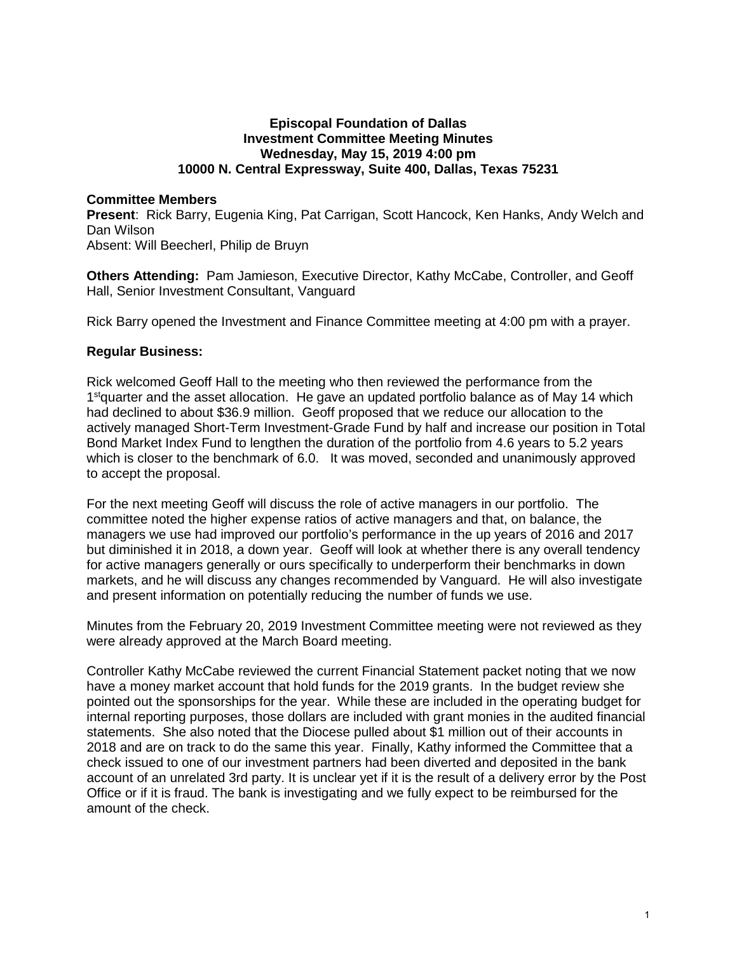#### **Episcopal Foundation of Dallas Investment Committee Meeting Minutes Wednesday, May 15, 2019 4:00 pm 10000 N. Central Expressway, Suite 400, Dallas, Texas 75231**

#### **Committee Members**

**Present**: Rick Barry, Eugenia King, Pat Carrigan, Scott Hancock, Ken Hanks, Andy Welch and Dan Wilson

Absent: Will Beecherl, Philip de Bruyn

**Others Attending:** Pam Jamieson, Executive Director, Kathy McCabe, Controller, and Geoff Hall, Senior Investment Consultant, Vanguard

Rick Barry opened the Investment and Finance Committee meeting at 4:00 pm with a prayer.

## **Regular Business:**

Rick welcomed Geoff Hall to the meeting who then reviewed the performance from the 1<sup>st</sup>quarter and the asset allocation. He gave an updated portfolio balance as of May 14 which had declined to about \$36.9 million. Geoff proposed that we reduce our allocation to the actively managed Short-Term Investment-Grade Fund by half and increase our position in Total Bond Market Index Fund to lengthen the duration of the portfolio from 4.6 years to 5.2 years which is closer to the benchmark of 6.0. It was moved, seconded and unanimously approved to accept the proposal.

For the next meeting Geoff will discuss the role of active managers in our portfolio. The committee noted the higher expense ratios of active managers and that, on balance, the managers we use had improved our portfolio's performance in the up years of 2016 and 2017 but diminished it in 2018, a down year. Geoff will look at whether there is any overall tendency for active managers generally or ours specifically to underperform their benchmarks in down markets, and he will discuss any changes recommended by Vanguard. He will also investigate and present information on potentially reducing the number of funds we use.

Minutes from the February 20, 2019 Investment Committee meeting were not reviewed as they were already approved at the March Board meeting.

Controller Kathy McCabe reviewed the current Financial Statement packet noting that we now have a money market account that hold funds for the 2019 grants. In the budget review she pointed out the sponsorships for the year. While these are included in the operating budget for internal reporting purposes, those dollars are included with grant monies in the audited financial statements. She also noted that the Diocese pulled about \$1 million out of their accounts in 2018 and are on track to do the same this year. Finally, Kathy informed the Committee that a check issued to one of our investment partners had been diverted and deposited in the bank account of an unrelated 3rd party. It is unclear yet if it is the result of a delivery error by the Post Office or if it is fraud. The bank is investigating and we fully expect to be reimbursed for the amount of the check.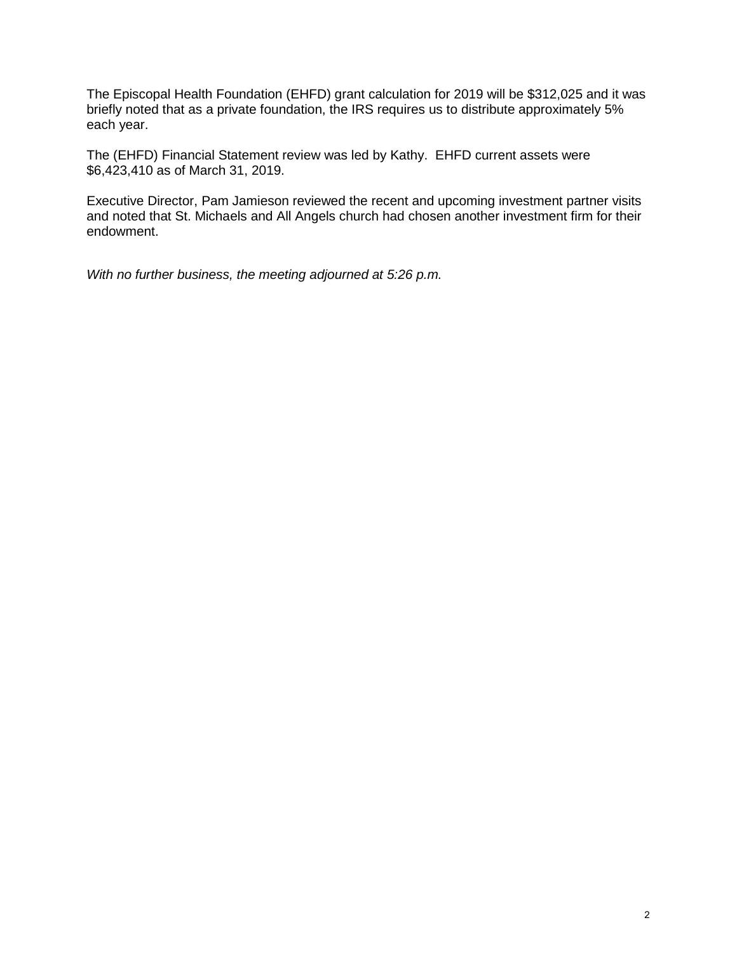The Episcopal Health Foundation (EHFD) grant calculation for 2019 will be \$312,025 and it was briefly noted that as a private foundation, the IRS requires us to distribute approximately 5% each year.

The (EHFD) Financial Statement review was led by Kathy. EHFD current assets were \$6,423,410 as of March 31, 2019.

Executive Director, Pam Jamieson reviewed the recent and upcoming investment partner visits and noted that St. Michaels and All Angels church had chosen another investment firm for their endowment.

*With no further business, the meeting adjourned at 5:26 p.m.*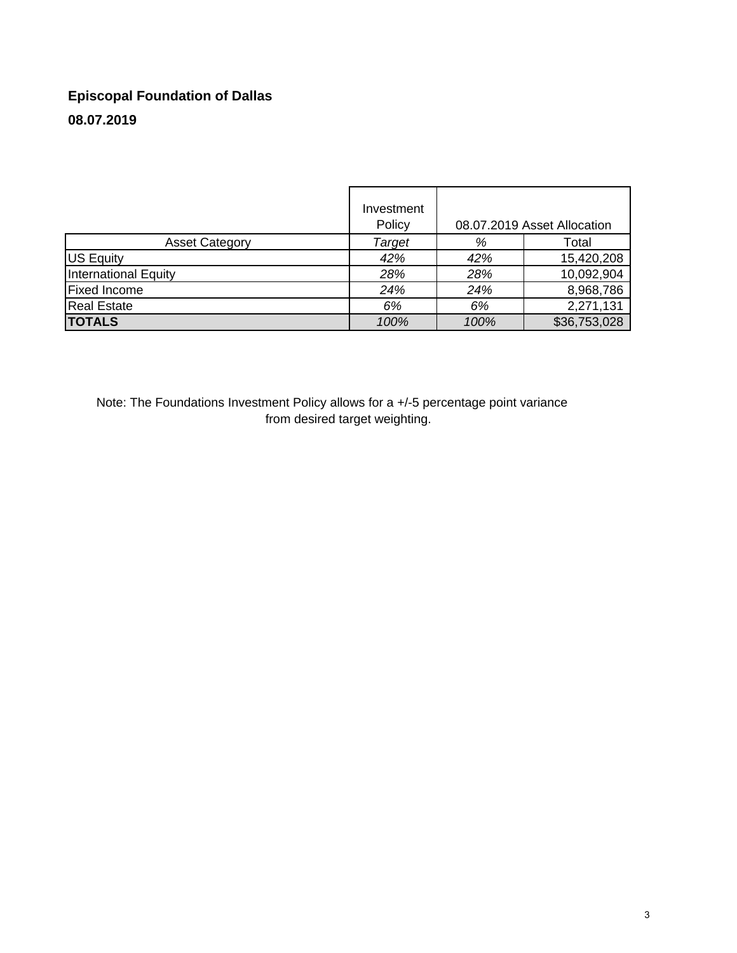# **Episcopal Foundation of Dallas 08.07.2019**

|                             | Investment<br>Policy | 08.07.2019 Asset Allocation |              |  |  |
|-----------------------------|----------------------|-----------------------------|--------------|--|--|
| <b>Asset Category</b>       | Target               | %                           | Total        |  |  |
| US Equity                   | 42%                  | 42%                         | 15,420,208   |  |  |
| <b>International Equity</b> | 28%                  | 28%                         | 10,092,904   |  |  |
| <b>Fixed Income</b>         | 24%                  | 24%                         | 8,968,786    |  |  |
| <b>Real Estate</b>          | 6%                   | 6%                          | 2,271,131    |  |  |
| <b>TOTALS</b>               | 100%                 | 100%                        | \$36,753,028 |  |  |

Note: The Foundations Investment Policy allows for a +/-5 percentage point variance from desired target weighting.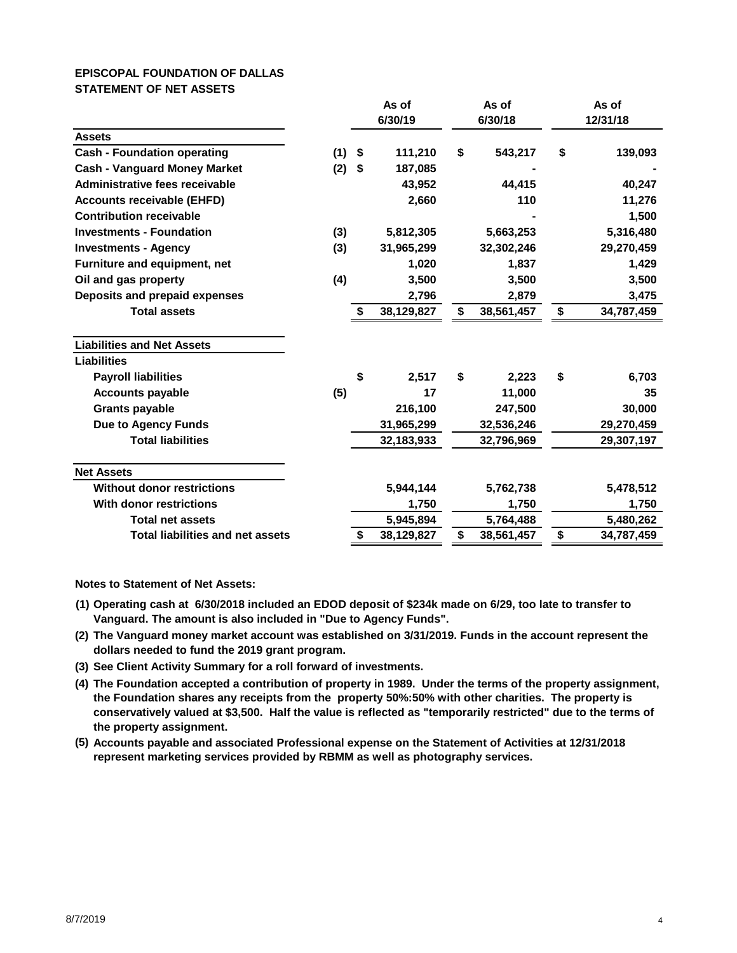# **EPISCOPAL FOUNDATION OF DALLAS STATEMENT OF NET ASSETS**

|                                         | As of<br>As of<br>6/30/19<br>6/30/18 |                           |            | As of<br>12/31/18 |            |    |            |
|-----------------------------------------|--------------------------------------|---------------------------|------------|-------------------|------------|----|------------|
| <b>Assets</b>                           |                                      |                           |            |                   |            |    |            |
| <b>Cash - Foundation operating</b>      | (1)                                  | $\boldsymbol{\mathsf{s}}$ | 111,210    | \$                | 543,217    | \$ | 139,093    |
| <b>Cash - Vanguard Money Market</b>     | (2)                                  | \$                        | 187,085    |                   |            |    |            |
| <b>Administrative fees receivable</b>   |                                      |                           | 43,952     |                   | 44,415     |    | 40,247     |
| <b>Accounts receivable (EHFD)</b>       |                                      |                           | 2,660      |                   | 110        |    | 11,276     |
| <b>Contribution receivable</b>          |                                      |                           |            |                   |            |    | 1,500      |
| <b>Investments - Foundation</b>         | (3)                                  |                           | 5,812,305  |                   | 5,663,253  |    | 5,316,480  |
| <b>Investments - Agency</b>             | (3)                                  |                           | 31,965,299 |                   | 32,302,246 |    | 29,270,459 |
| Furniture and equipment, net            |                                      |                           | 1,020      |                   | 1,837      |    | 1,429      |
| Oil and gas property                    | (4)                                  |                           | 3,500      |                   | 3,500      |    | 3,500      |
| Deposits and prepaid expenses           |                                      |                           | 2,796      |                   | 2,879      |    | 3,475      |
| <b>Total assets</b>                     |                                      | \$                        | 38,129,827 | \$                | 38,561,457 | \$ | 34,787,459 |
| <b>Liabilities and Net Assets</b>       |                                      |                           |            |                   |            |    |            |
| <b>Liabilities</b>                      |                                      |                           |            |                   |            |    |            |
| <b>Payroll liabilities</b>              |                                      | \$                        | 2,517      | \$                | 2,223      | \$ | 6,703      |
| <b>Accounts payable</b>                 | (5)                                  |                           | 17         |                   | 11,000     |    | 35         |
| <b>Grants payable</b>                   |                                      |                           | 216,100    |                   | 247,500    |    | 30,000     |
| <b>Due to Agency Funds</b>              |                                      |                           | 31,965,299 |                   | 32,536,246 |    | 29,270,459 |
| <b>Total liabilities</b>                |                                      |                           | 32,183,933 |                   | 32,796,969 |    | 29,307,197 |
| <b>Net Assets</b>                       |                                      |                           |            |                   |            |    |            |
| <b>Without donor restrictions</b>       |                                      |                           | 5,944,144  |                   | 5,762,738  |    | 5,478,512  |
| <b>With donor restrictions</b>          |                                      |                           | 1,750      |                   | 1,750      |    | 1,750      |
| <b>Total net assets</b>                 |                                      |                           | 5,945,894  |                   | 5,764,488  |    | 5,480,262  |
| <b>Total liabilities and net assets</b> |                                      | \$                        | 38,129,827 | \$                | 38,561,457 | \$ | 34,787,459 |

**Notes to Statement of Net Assets:**

- **(1) Operating cash at 6/30/2018 included an EDOD deposit of \$234k made on 6/29, too late to transfer to Vanguard. The amount is also included in "Due to Agency Funds".**
- **(2) The Vanguard money market account was established on 3/31/2019. Funds in the account represent the dollars needed to fund the 2019 grant program.**
- **(3) See Client Activity Summary for a roll forward of investments.**
- **(4) The Foundation accepted a contribution of property in 1989. Under the terms of the property assignment, the Foundation shares any receipts from the property 50%:50% with other charities. The property is conservatively valued at \$3,500. Half the value is reflected as "temporarily restricted" due to the terms of the property assignment.**
- **(5) Accounts payable and associated Professional expense on the Statement of Activities at 12/31/2018 represent marketing services provided by RBMM as well as photography services.**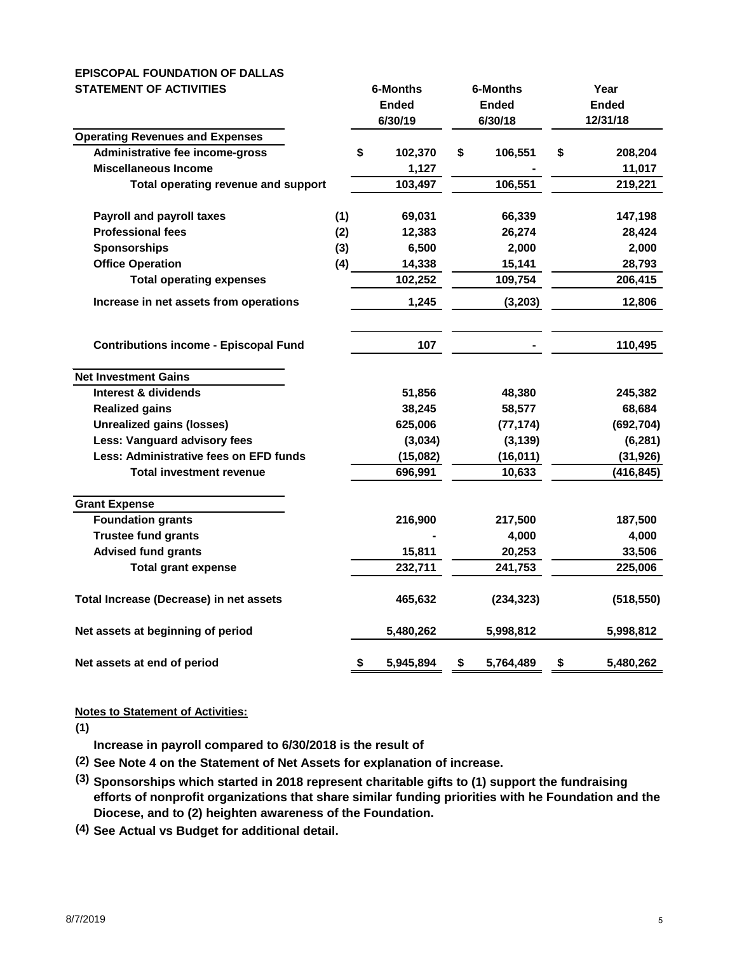## **EPISCOPAL FOUNDATION OF DALLAS STATEMENT OF ACTIVITIES 6-Months 6-Months Year**

| $1$ $\sqcup$ $\sqcup$ $\sqcup$ $\sqcup$ $\sqcup$ $\sqcup$ $\sqcup$ $\sqcup$ $\sqcup$ $\sqcup$ |     |    |              |    | טוווטוויט    |              |            |  |
|-----------------------------------------------------------------------------------------------|-----|----|--------------|----|--------------|--------------|------------|--|
|                                                                                               |     |    | <b>Ended</b> |    | <b>Ended</b> | <b>Ended</b> |            |  |
|                                                                                               |     |    | 6/30/19      |    | 6/30/18      | 12/31/18     |            |  |
| <b>Operating Revenues and Expenses</b>                                                        |     |    |              |    |              |              |            |  |
| Administrative fee income-gross                                                               |     | \$ | 102,370      | \$ | 106,551      | \$           | 208,204    |  |
| <b>Miscellaneous Income</b>                                                                   |     |    | 1,127        |    |              |              | 11,017     |  |
| Total operating revenue and support                                                           |     |    | 103,497      |    | 106,551      |              | 219,221    |  |
| <b>Payroll and payroll taxes</b>                                                              | (1) |    | 69,031       |    | 66,339       |              | 147,198    |  |
| <b>Professional fees</b>                                                                      | (2) |    | 12,383       |    | 26,274       |              | 28,424     |  |
| <b>Sponsorships</b>                                                                           | (3) |    | 6,500        |    | 2,000        |              | 2,000      |  |
| <b>Office Operation</b>                                                                       | (4) |    | 14,338       |    | 15,141       |              | 28,793     |  |
| <b>Total operating expenses</b>                                                               |     |    | 102,252      |    | 109,754      |              | 206,415    |  |
| Increase in net assets from operations                                                        |     |    | 1,245        |    | (3, 203)     |              | 12,806     |  |
| <b>Contributions income - Episcopal Fund</b>                                                  |     |    | 107          |    |              |              | 110,495    |  |
| <b>Net Investment Gains</b>                                                                   |     |    |              |    |              |              |            |  |
| Interest & dividends                                                                          |     |    | 51,856       |    | 48,380       |              | 245,382    |  |
| <b>Realized gains</b>                                                                         |     |    | 38,245       |    | 58,577       |              | 68,684     |  |
| <b>Unrealized gains (losses)</b>                                                              |     |    | 625,006      |    | (77, 174)    |              | (692, 704) |  |
| <b>Less: Vanguard advisory fees</b>                                                           |     |    | (3,034)      |    | (3, 139)     |              | (6, 281)   |  |
| Less: Administrative fees on EFD funds                                                        |     |    | (15,082)     |    | (16, 011)    |              | (31, 926)  |  |
| <b>Total investment revenue</b>                                                               |     |    | 696,991      |    | 10,633       |              | (416, 845) |  |
| <b>Grant Expense</b>                                                                          |     |    |              |    |              |              |            |  |
| <b>Foundation grants</b>                                                                      |     |    | 216,900      |    | 217,500      |              | 187,500    |  |
| <b>Trustee fund grants</b>                                                                    |     |    |              |    | 4,000        |              | 4,000      |  |
| <b>Advised fund grants</b>                                                                    |     |    | 15,811       |    | 20,253       |              | 33,506     |  |
| <b>Total grant expense</b>                                                                    |     |    | 232,711      |    | 241,753      |              | 225,006    |  |
| Total Increase (Decrease) in net assets                                                       |     |    | 465,632      |    | (234, 323)   |              | (518, 550) |  |
| Net assets at beginning of period                                                             |     |    | 5,480,262    |    | 5,998,812    |              | 5,998,812  |  |
| Net assets at end of period                                                                   |     | \$ | 5,945,894    | \$ | 5,764,489    | \$           | 5,480,262  |  |

# **Notes to Statement of Activities:**

**(1)**

**Increase in payroll compared to 6/30/2018 is the result of** 

- **(2) See Note 4 on the Statement of Net Assets for explanation of increase.**
- **(3) Sponsorships which started in 2018 represent charitable gifts to (1) support the fundraising efforts of nonprofit organizations that share similar funding priorities with he Foundation and the Diocese, and to (2) heighten awareness of the Foundation.**
- **(4) See Actual vs Budget for additional detail.**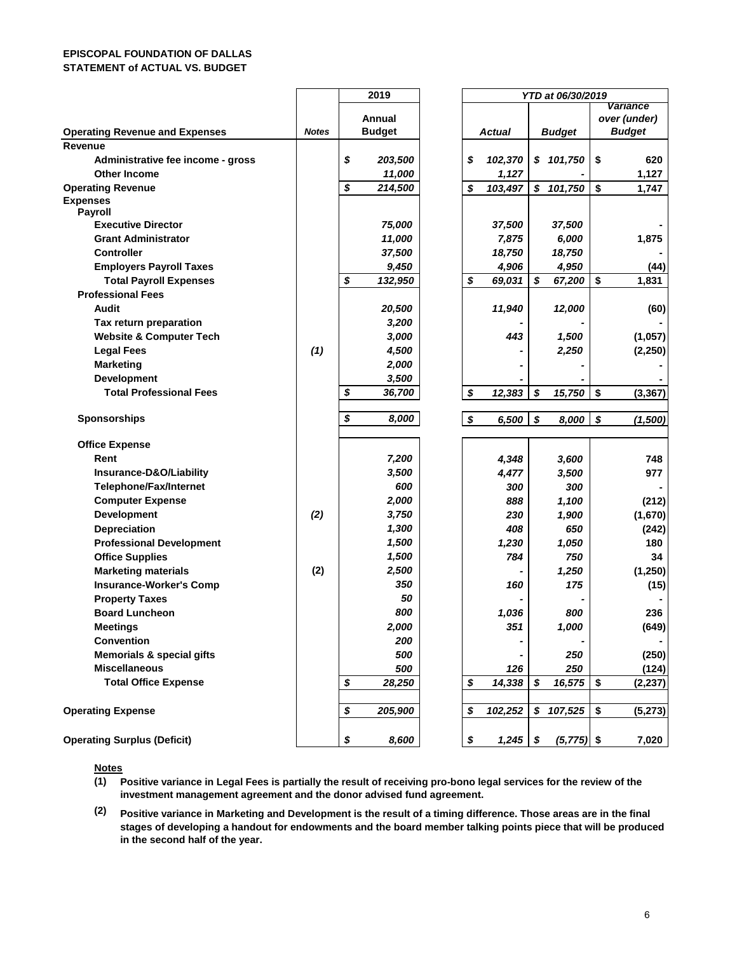#### **EPISCOPAL FOUNDATION OF DALLAS STATEMENT of ACTUAL VS. BUDGET**

|                                             |              |        | 2019          |    |               |               | YTD at 06/30/2019 |              |          |
|---------------------------------------------|--------------|--------|---------------|----|---------------|---------------|-------------------|--------------|----------|
|                                             |              |        |               |    |               |               |                   | Variance     |          |
|                                             |              | Annual |               |    |               |               |                   | over (under) |          |
| <b>Operating Revenue and Expenses</b>       | <b>Notes</b> |        | <b>Budget</b> |    | <b>Actual</b> | <b>Budget</b> |                   |              | Budget   |
| Revenue                                     |              |        |               |    |               |               |                   |              |          |
| Administrative fee income - gross           |              | \$     | 203,500       | \$ | 102,370       |               | \$101,750         | \$           | 620      |
| <b>Other Income</b>                         |              |        | 11,000        |    | 1,127         |               |                   |              | 1,127    |
| <b>Operating Revenue</b><br><b>Expenses</b> |              | \$     | 214,500       | \$ | 103,497       |               | \$101,750         | \$           | 1,747    |
| Payroll                                     |              |        |               |    |               |               |                   |              |          |
| <b>Executive Director</b>                   |              |        | 75,000        |    | 37,500        |               | 37,500            |              |          |
| <b>Grant Administrator</b>                  |              |        | 11,000        |    | 7,875         |               | 6,000             |              | 1,875    |
| <b>Controller</b>                           |              |        | 37,500        |    | 18,750        |               | 18,750            |              |          |
| <b>Employers Payroll Taxes</b>              |              |        | 9,450         |    | 4,906         |               | 4,950             |              | (44)     |
| <b>Total Payroll Expenses</b>               |              | \$     | 132,950       | \$ | 69,031        | \$            | 67,200            | \$           | 1,831    |
| <b>Professional Fees</b>                    |              |        |               |    |               |               |                   |              |          |
| Audit                                       |              |        | 20,500        |    | 11,940        |               | 12,000            |              | (60)     |
| Tax return preparation                      |              |        | 3,200         |    |               |               |                   |              |          |
| <b>Website &amp; Computer Tech</b>          |              |        | 3,000         |    | 443           |               | 1,500             |              | (1,057)  |
| <b>Legal Fees</b>                           | (1)          |        | 4,500         |    |               |               | 2,250             |              | (2, 250) |
| <b>Marketing</b>                            |              |        | 2,000         |    |               |               |                   |              |          |
| Development                                 |              |        | 3,500         |    |               |               |                   |              |          |
| <b>Total Professional Fees</b>              |              | \$     | 36,700        | \$ | 12,383        | \$            | 15,750            | \$           | (3, 367) |
| <b>Sponsorships</b>                         |              | \$     | 8,000         | \$ | 6,500         | \$            | 8,000             | \$           | (1,500)  |
| <b>Office Expense</b>                       |              |        |               |    |               |               |                   |              |          |
| Rent                                        |              |        | 7,200         |    | 4,348         |               | 3,600             |              | 748      |
| Insurance-D&O/Liability                     |              |        | 3,500         |    | 4,477         |               | 3,500             |              | 977      |
| <b>Telephone/Fax/Internet</b>               |              |        | 600           |    | 300           |               | 300               |              |          |
| <b>Computer Expense</b>                     |              |        | 2,000         |    | 888           |               | 1,100             |              | (212)    |
| <b>Development</b>                          | (2)          |        | 3,750         |    | 230           |               | 1,900             |              | (1,670)  |
| <b>Depreciation</b>                         |              |        | 1,300         |    | 408           |               | 650               |              | (242)    |
| <b>Professional Development</b>             |              |        | 1,500         |    | 1,230         |               | 1,050             |              | 180      |
| <b>Office Supplies</b>                      |              |        | 1,500         |    | 784           |               | 750               |              | 34       |
| <b>Marketing materials</b>                  | (2)          |        | 2,500         |    |               |               | 1,250             |              | (1, 250) |
| <b>Insurance-Worker's Comp</b>              |              |        | 350           |    | 160           |               | 175               |              | (15)     |
| <b>Property Taxes</b>                       |              |        | 50            |    |               |               |                   |              |          |
| <b>Board Luncheon</b>                       |              |        | 800           |    | 1,036         |               | 800               |              | 236      |
| <b>Meetings</b>                             |              |        | 2,000         |    | 351           |               | 1,000             |              | (649)    |
| <b>Convention</b>                           |              |        | 200           |    |               |               |                   |              |          |
| <b>Memorials &amp; special gifts</b>        |              |        | 500           |    |               |               | 250               |              | (250)    |
| <b>Miscellaneous</b>                        |              |        | 500           |    | 126           |               | 250               |              | (124)    |
| <b>Total Office Expense</b>                 |              | \$     | 28,250        | \$ | 14,338        | \$            | 16,575            | \$           | (2, 237) |
| <b>Operating Expense</b>                    |              | \$     | 205,900       | \$ | 102,252       | \$            | 107,525           | \$           | (5, 273) |
|                                             |              |        |               |    |               |               |                   |              |          |
| <b>Operating Surplus (Deficit)</b>          |              | \$     | 8,600         | \$ | 1,245         | \$            | $(5,775)$ \$      |              | 7,020    |

**Notes**

**(1) Positive variance in Legal Fees is partially the result of receiving pro-bono legal services for the review of the investment management agreement and the donor advised fund agreement.** 

**(2) Positive variance in Marketing and Development is the result of a timing difference. Those areas are in the final stages of developing a handout for endowments and the board member talking points piece that will be produced in the second half of the year.**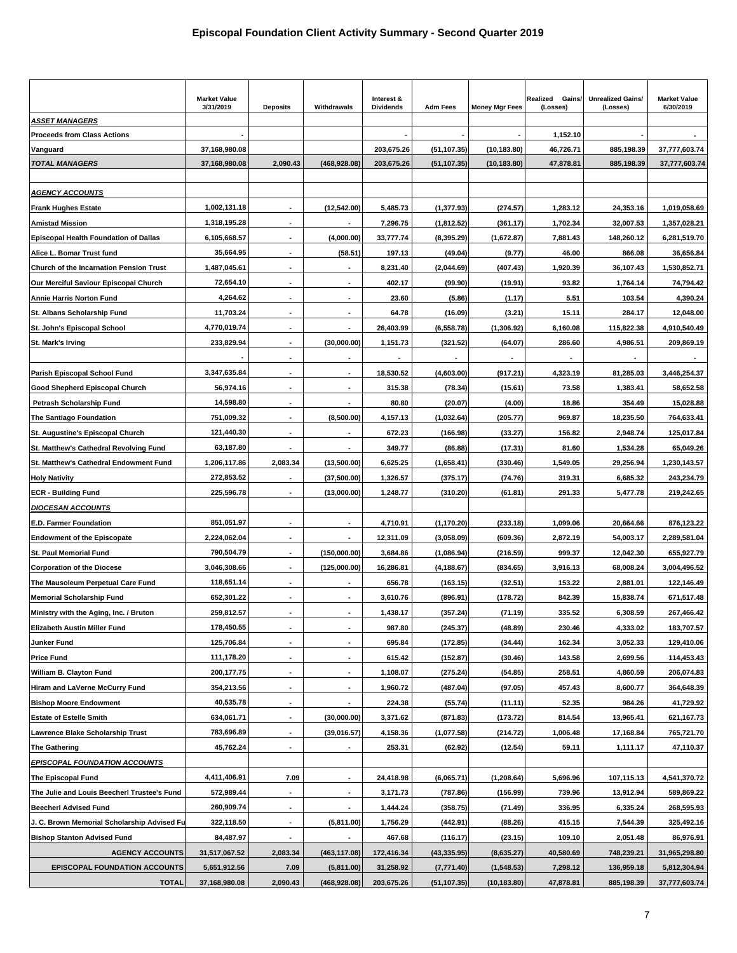|                                                | <b>Market Value</b><br>3/31/2019 | <b>Deposits</b>          | Withdrawals              | Interest &<br><b>Dividends</b> | <b>Adm Fees</b> | <b>Money Mgr Fees</b> | Realized<br>Gains/<br>(Losses) | <b>Unrealized Gains/</b><br>(Losses) | <b>Market Value</b><br>6/30/2019 |
|------------------------------------------------|----------------------------------|--------------------------|--------------------------|--------------------------------|-----------------|-----------------------|--------------------------------|--------------------------------------|----------------------------------|
| <b>ASSET MANAGERS</b>                          |                                  |                          |                          |                                |                 |                       |                                |                                      |                                  |
| <b>Proceeds from Class Actions</b>             |                                  |                          |                          |                                |                 |                       | 1,152.10                       |                                      |                                  |
| Vanguard                                       | 37,168,980.08                    |                          |                          | 203,675.26                     | (51, 107.35)    | (10, 183.80)          | 46,726.71                      | 885,198.39                           | 37,777,603.74                    |
| <b>TOTAL MANAGERS</b>                          | 37,168,980.08                    | 2,090.43                 | (468, 928.08)            | 203,675.26                     | (51, 107.35)    | (10, 183.80)          | 47,878.81                      | 885,198.39                           | 37,777,603.74                    |
| <u>AGENCY ACCOUNTS</u>                         |                                  |                          |                          |                                |                 |                       |                                |                                      |                                  |
| <b>Frank Hughes Estate</b>                     | 1,002,131.18                     |                          | (12,542.00)              | 5,485.73                       | (1, 377.93)     | (274.57)              | 1,283.12                       | 24,353.16                            | 1,019,058.69                     |
| <b>Amistad Mission</b>                         | 1,318,195.28                     |                          |                          | 7,296.75                       | (1,812.52)      | (361.17)              | 1,702.34                       | 32,007.53                            | 1,357,028.21                     |
| <b>Episcopal Health Foundation of Dallas</b>   | 6,105,668.57                     |                          | (4.000.00)               | 33,777.74                      | (8, 395.29)     | (1,672.87)            | 7,881.43                       | 148,260.12                           | 6,281,519.70                     |
| Alice L. Bomar Trust fund                      | 35,664.95                        |                          | (58.51)                  | 197.13                         | (49.04)         | (9.77)                | 46.00                          | 866.08                               | 36,656.84                        |
| <b>Church of the Incarnation Pension Trust</b> | 1,487,045.61                     |                          |                          | 8,231.40                       | (2,044.69)      | (407.43)              | 1,920.39                       | 36,107.43                            | 1,530,852.71                     |
| Our Merciful Saviour Episcopal Church          | 72,654.10                        |                          |                          | 402.17                         | (99.90)         | (19.91)               | 93.82                          | 1,764.14                             | 74,794.42                        |
| <b>Annie Harris Norton Fund</b>                | 4,264.62                         |                          | $\overline{\phantom{a}}$ | 23.60                          | (5.86)          | (1.17)                | 5.51                           | 103.54                               | 4,390.24                         |
| St. Albans Scholarship Fund                    | 11,703.24                        |                          | $\overline{\phantom{a}}$ | 64.78                          | (16.09)         | (3.21)                | 15.11                          | 284.17                               | 12,048.00                        |
| St. John's Episcopal School                    | 4,770,019.74                     | $\blacksquare$           | $\overline{\phantom{a}}$ | 26,403.99                      | (6,558.78)      | (1,306.92)            | 6,160.08                       | 115,822.38                           | 4,910,540.49                     |
| St. Mark's Irving                              | 233,829.94                       |                          | (30,000.00)              | 1,151.73                       | (321.52)        | (64.07)               | 286.60                         | 4,986.51                             | 209,869.19                       |
|                                                |                                  | $\overline{\phantom{a}}$ |                          |                                |                 | $\blacksquare$        |                                |                                      |                                  |
| Parish Episcopal School Fund                   | 3,347,635.84                     |                          |                          | 18,530.52                      | (4,603.00)      | (917.21)              | 4,323.19                       | 81,285.03                            | 3,446,254.37                     |
| Good Shepherd Episcopal Church                 | 56,974.16                        |                          |                          | 315.38                         | (78.34)         | (15.61)               | 73.58                          | 1,383.41                             | 58,652.58                        |
| Petrash Scholarship Fund                       | 14,598.80                        |                          |                          | 80.80                          | (20.07)         | (4.00)                | 18.86                          | 354.49                               | 15,028.88                        |
| <b>The Santiago Foundation</b>                 | 751,009.32                       |                          | (8,500.00)               | 4,157.13                       | (1,032.64)      | (205.77)              | 969.87                         | 18,235.50                            | 764,633.41                       |
| St. Augustine's Episcopal Church               | 121,440.30                       |                          |                          | 672.23                         | (166.98)        | (33.27)               | 156.82                         | 2,948.74                             | 125,017.84                       |
| St. Matthew's Cathedral Revolving Fund         | 63,187.80                        |                          |                          | 349.77                         | (86.88)         | (17.31)               | 81.60                          | 1,534.28                             | 65,049.26                        |
| St. Matthew's Cathedral Endowment Fund         | 1,206,117.86                     | 2,083.34                 | (13,500.00)              | 6,625.25                       | (1,658.41)      | (330.46)              | 1,549.05                       | 29,256.94                            | 1,230,143.57                     |
| <b>Holy Nativity</b>                           | 272,853.52                       |                          | (37,500.00)              | 1,326.57                       | (375.17)        | (74.76)               | 319.31                         | 6,685.32                             | 243,234.79                       |
| ECR - Building Fund                            | 225,596.78                       | $\overline{\phantom{a}}$ | (13,000.00)              | 1,248.77                       | (310.20)        | (61.81)               | 291.33                         | 5,477.78                             | 219,242.65                       |
| <b>DIOCESAN ACCOUNTS</b>                       |                                  |                          |                          |                                |                 |                       |                                |                                      |                                  |
| E.D. Farmer Foundation                         | 851,051.97                       |                          |                          | 4,710.91                       | (1, 170.20)     | (233.18)              | 1,099.06                       | 20,664.66                            | 876,123.22                       |
| <b>Endowment of the Episcopate</b>             | 2,224,062.04                     |                          |                          | 12,311.09                      | (3,058.09)      | (609.36)              | 2,872.19                       | 54,003.17                            | 2,289,581.04                     |
| St. Paul Memorial Fund                         | 790,504.79                       | $\blacksquare$           | (150,000.00)             | 3,684.86                       | (1,086.94)      | (216.59)              | 999.37                         | 12,042.30                            | 655,927.79                       |
| <b>Corporation of the Diocese</b>              | 3,046,308.66                     |                          | (125,000.00)             | 16,286.81                      | (4, 188.67)     | (834.65)              | 3,916.13                       | 68,008.24                            | 3,004,496.52                     |
| The Mausoleum Perpetual Care Fund              | 118,651.14                       |                          |                          | 656.78                         | (163.15)        | (32.51)               | 153.22                         | 2,881.01                             | 122,146.49                       |
| <b>Memorial Scholarship Fund</b>               | 652,301.22                       |                          |                          | 3,610.76                       | (896.91)        | (178.72)              | 842.39                         | 15,838.74                            | 671,517.48                       |
| Ministry with the Aging, Inc. / Bruton         | 259,812.57                       |                          | $\overline{\phantom{a}}$ | 1,438.17                       | (357.24)        | (71.19)               | 335.52                         | 6,308.59                             | 267,466.42                       |
| Elizabeth Austin Miller Fund                   | 178,450.55                       |                          | $\blacksquare$           | 987.80                         | (245.37)        | (48.89)               | 230.46                         | 4,333.02                             | 183,707.57                       |
| Junker Fund                                    | 125,706.84                       |                          |                          | 695.84                         | (172.85)        | (34.44)               | 162.34                         | 3,052.33                             | 129,410.06                       |
| <b>Price Fund</b>                              | 111,178.20                       | $\blacksquare$           |                          | 615.42                         | (152.87)        | (30.46)               | 143.58                         | 2,699.56                             | 114,453.43                       |
| William B. Clayton Fund                        | 200,177.75                       |                          |                          | 1,108.07                       | (275.24)        | (54.85)               | 258.51                         | 4,860.59                             | 206,074.83                       |
| Hiram and LaVerne McCurry Fund                 | 354,213.56                       | $\overline{\phantom{a}}$ | $\overline{\phantom{a}}$ | 1,960.72                       | (487.04)        | (97.05)               | 457.43                         | 8,600.77                             | 364,648.39                       |
| <b>Bishop Moore Endowment</b>                  | 40,535.78                        | $\overline{\phantom{a}}$ | $\overline{\phantom{a}}$ | 224.38                         | (55.74)         | (11.11)               | 52.35                          | 984.26                               | 41,729.92                        |
| <b>Estate of Estelle Smith</b>                 | 634,061.71                       | $\overline{\phantom{a}}$ | (30,000.00)              | 3,371.62                       | (871.83)        | (173.72)              | 814.54                         | 13,965.41                            | 621,167.73                       |
| Lawrence Blake Scholarship Trust               | 783,696.89                       |                          | (39,016.57)              | 4,158.36                       | (1,077.58)      | (214.72)              | 1,006.48                       | 17,168.84                            | 765,721.70                       |
| <b>The Gathering</b>                           | 45,762.24                        | $\blacksquare$           |                          | 253.31                         | (62.92)         | (12.54)               | 59.11                          | 1,111.17                             | 47,110.37                        |
| <b>EPISCOPAL FOUNDATION ACCOUNTS</b>           |                                  |                          |                          |                                |                 |                       |                                |                                      |                                  |
| <b>The Episcopal Fund</b>                      | 4,411,406.91                     | 7.09                     |                          | 24,418.98                      | (6,065.71)      | (1, 208.64)           | 5,696.96                       | 107,115.13                           | 4,541,370.72                     |
| The Julie and Louis Beecherl Trustee's Fund    | 572,989.44                       |                          | $\overline{\phantom{a}}$ | 3,171.73                       | (787.86)        | (156.99)              | 739.96                         | 13,912.94                            | 589,869.22                       |
| <b>Beecherl Advised Fund</b>                   | 260,909.74                       | $\overline{\phantom{a}}$ | $\overline{\phantom{a}}$ | 1,444.24                       | (358.75)        | (71.49)               | 336.95                         | 6,335.24                             | 268,595.93                       |
| J. C. Brown Memorial Scholarship Advised Fu    | 322,118.50                       | $\overline{\phantom{a}}$ | (5,811.00)               | 1,756.29                       | (442.91)        | (88.26)               | 415.15                         | 7,544.39                             | 325,492.16                       |
| <b>Bishop Stanton Advised Fund</b>             | 84,487.97                        |                          |                          | 467.68                         | (116.17)        | (23.15)               | 109.10                         | 2,051.48                             | 86,976.91                        |
| <b>AGENCY ACCOUNTS</b>                         | 31,517,067.52                    | 2,083.34                 | (463, 117.08)            | 172,416.34                     | (43, 335.95)    | (8,635.27)            | 40,580.69                      | 748,239.21                           | 31,965,298.80                    |
| <b>EPISCOPAL FOUNDATION ACCOUNTS</b>           | 5,651,912.56                     | 7.09                     | (5,811.00)               | 31,258.92                      | (7, 771.40)     | (1,548.53)            | 7,298.12                       | 136,959.18                           | 5,812,304.94                     |
| <b>TOTAL</b>                                   | 37,168,980.08                    | 2,090.43                 | (468, 928.08)            | 203,675.26                     | (51, 107.35)    | (10, 183.80)          | 47,878.81                      | 885,198.39                           | 37,777,603.74                    |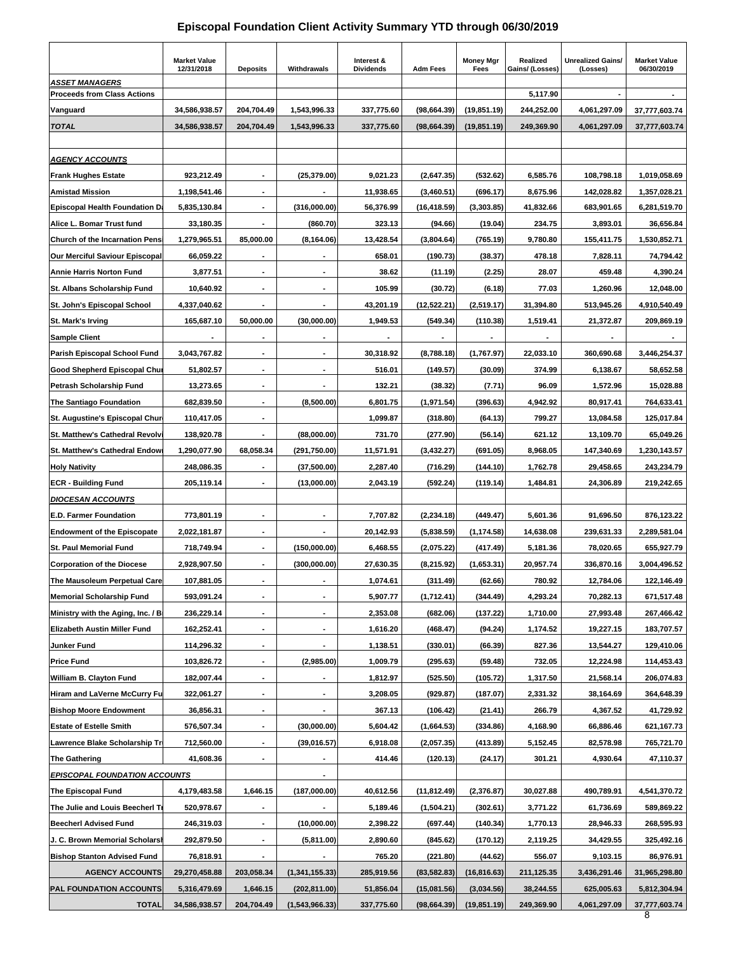## **Episcopal Foundation Client Activity Summary YTD through 06/30/2019**

|                                        | <b>Market Value</b><br>12/31/2018 | <b>Deposits</b>          | Withdrawals              | Interest &<br><b>Dividends</b> | <b>Adm Fees</b> | <b>Money Mgr</b><br>Fees | Realized<br>Gains/ (Losses) | <b>Unrealized Gains/</b><br>(Losses) | <b>Market Value</b><br>06/30/2019 |
|----------------------------------------|-----------------------------------|--------------------------|--------------------------|--------------------------------|-----------------|--------------------------|-----------------------------|--------------------------------------|-----------------------------------|
| ASSET MANAGERS                         |                                   |                          |                          |                                |                 |                          |                             |                                      |                                   |
| Proceeds from Class Actions            |                                   |                          |                          |                                |                 |                          | 5,117.90                    | $\blacksquare$                       |                                   |
| Vanguard                               | 34,586,938.57                     | 204,704.49               | 1,543,996.33             | 337,775.60                     | (98, 664.39)    | (19, 851.19)             | 244,252.00                  | 4,061,297.09                         | 37,777,603.74                     |
| TOTAL                                  | 34,586,938.57                     | 204,704.49               | 1,543,996.33             | 337,775.60                     | (98, 664.39)    | (19, 851.19)             | 249,369.90                  | 4,061,297.09                         | 37,777,603.74                     |
|                                        |                                   |                          |                          |                                |                 |                          |                             |                                      |                                   |
| AGENCY ACCOUNTS                        |                                   |                          |                          |                                |                 |                          |                             |                                      |                                   |
| <b>Frank Hughes Estate</b>             | 923,212.49                        |                          | (25, 379.00)             | 9,021.23                       | (2,647.35)      | (532.62)                 | 6,585.76                    | 108,798.18                           | 1,019,058.69                      |
| <b>Amistad Mission</b>                 | 1,198,541.46                      | ٠                        |                          | 11,938.65                      | (3,460.51)      | (696.17)                 | 8,675.96                    | 142,028.82                           | 1,357,028.21                      |
| <b>Episcopal Health Foundation Da</b>  | 5,835,130.84                      |                          | (316,000.00)             | 56,376.99                      | (16,418.59)     | (3,303.85)               | 41,832.66                   | 683,901.65                           | 6,281,519.70                      |
| Alice L. Bomar Trust fund              | 33,180.35                         | $\blacksquare$           | (860.70)                 | 323.13                         | (94.66)         | (19.04)                  | 234.75                      | 3,893.01                             | 36,656.84                         |
| <b>Church of the Incarnation Pensi</b> | 1,279,965.51                      | 85,000.00                | (8, 164.06)              | 13,428.54                      | (3,804.64)      | (765.19)                 | 9,780.80                    | 155,411.75                           | 1,530,852.71                      |
| Our Merciful Saviour Episcopal         | 66,059.22                         |                          |                          | 658.01                         | (190.73)        | (38.37)                  | 478.18                      | 7,828.11                             | 74,794.42                         |
| Annie Harris Norton Fund               | 3,877.51                          |                          |                          | 38.62                          | (11.19)         | (2.25)                   | 28.07                       | 459.48                               | 4,390.24                          |
| St. Albans Scholarship Fund            | 10.640.92                         | $\overline{\phantom{a}}$ | $\overline{\phantom{a}}$ | 105.99                         | (30.72)         | (6.18)                   | 77.03                       | 1,260.96                             | 12,048.00                         |
| St. John's Episcopal School            | 4,337,040.62                      | $\blacksquare$           | $\overline{\phantom{a}}$ | 43,201.19                      | (12, 522.21)    | (2,519.17)               | 31,394.80                   | 513,945.26                           | 4,910,540.49                      |
| St. Mark's Irving                      | 165,687.10                        | 50,000.00                | (30,000.00)              | 1,949.53                       | (549.34)        | (110.38)                 | 1,519.41                    | 21,372.87                            | 209,869.19                        |
| <b>Sample Client</b>                   |                                   |                          |                          |                                |                 |                          |                             |                                      |                                   |
| Parish Episcopal School Fund           | 3,043,767.82                      |                          |                          | 30,318.92                      | (8,788.18)      | (1,767.97)               | 22,033.10                   | 360.690.68                           | 3,446,254.37                      |
| Good Shepherd Episcopal Chur           | 51,802.57                         | $\blacksquare$           | $\blacksquare$           | 516.01                         | (149.57)        | (30.09)                  | 374.99                      | 6,138.67                             | 58,652.58                         |
| Petrash Scholarship Fund               | 13,273.65                         |                          |                          | 132.21                         | (38.32)         | (7.71)                   | 96.09                       | 1,572.96                             | 15,028.88                         |
| The Santiago Foundation                | 682,839.50                        | $\blacksquare$           | (8,500.00)               | 6,801.75                       | (1,971.54)      | (396.63)                 | 4,942.92                    | 80,917.41                            | 764,633.41                        |
| St. Augustine's Episcopal Chur         | 110,417.05                        |                          |                          | 1,099.87                       | (318.80)        | (64.13)                  | 799.27                      | 13,084.58                            | 125,017.84                        |
| St. Matthew's Cathedral Revolv         | 138,920.78                        | $\overline{\phantom{a}}$ | (88,000.00)              | 731.70                         | (277.90)        | (56.14)                  | 621.12                      | 13,109.70                            | 65,049.26                         |
| St. Matthew's Cathedral Endowr         | 1,290,077.90                      | 68,058.34                | (291,750.00)             | 11,571.91                      | (3,432.27)      | (691.05)                 | 8,968.05                    | 147,340.69                           | 1,230,143.57                      |
| <b>Holy Nativity</b>                   | 248,086.35                        |                          | (37,500.00)              | 2,287.40                       | (716.29)        | (144.10)                 | 1,762.78                    | 29,458.65                            | 243,234.79                        |
| ECR - Building Fund                    | 205,119.14                        |                          | (13,000.00)              | 2,043.19                       | (592.24)        | (119.14)                 | 1,484.81                    | 24,306.89                            | 219,242.65                        |
| <b>DIOCESAN ACCOUNTS</b>               |                                   |                          |                          |                                |                 |                          |                             |                                      |                                   |
| <b>E.D. Farmer Foundation</b>          | 773,801.19                        |                          |                          | 7,707.82                       | (2, 234.18)     | (449.47)                 | 5,601.36                    | 91,696.50                            | 876,123.22                        |
| <b>Endowment of the Episcopate</b>     | 2,022,181.87                      | $\blacksquare$           | $\blacksquare$           | 20,142.93                      | (5,838.59)      | (1, 174.58)              | 14,638.08                   | 239,631.33                           | 2,289,581.04                      |
| St. Paul Memorial Fund                 | 718,749.94                        |                          | (150,000.00)             | 6,468.55                       | (2,075.22)      | (417.49)                 | 5,181.36                    | 78,020.65                            | 655,927.79                        |
| <b>Corporation of the Diocese</b>      | 2,928,907.50                      | $\blacksquare$           | (300, 000.00)            | 27,630.35                      | (8,215.92)      | (1,653.31)               | 20,957.74                   | 336,870.16                           | 3,004,496.52                      |
| The Mausoleum Perpetual Care           | 107,881.05                        |                          |                          | 1,074.61                       | (311.49)        | (62.66)                  | 780.92                      | 12,784.06                            | 122,146.49                        |
| <b>Memorial Scholarship Fund</b>       | 593,091.24                        | $\overline{\phantom{a}}$ | $\blacksquare$           | 5,907.77                       | (1,712.41)      | (344.49)                 | 4,293.24                    | 70,282.13                            | 671,517.48                        |
| Ministry with the Aging, Inc. / Br     | 236,229.14                        |                          |                          | 2,353.08                       | (682.06)        | (137.22)                 | 1,710.00                    | 27,993.48                            | 267,466.42                        |
| <b>Elizabeth Austin Miller Fund</b>    | 162,252.41                        | ٠                        | ٠                        | 1,616.20                       | (468.47)        | (94.24)                  | 1,174.52                    | 19,227.15                            | 183,707.57                        |
| Junker Fund                            | 114,296.32                        |                          | $\blacksquare$           | 1,138.51                       | (330.01)        | (66.39)                  | 827.36                      | 13,544.27                            | 129,410.06                        |
| Price Fund                             | 103,826.72                        | $\overline{\phantom{a}}$ | (2,985.00)               | 1,009.79                       | (295.63)        | (59.48)                  | 732.05                      | 12,224.98                            | 114,453.43                        |
| William B. Clayton Fund                | 182,007.44                        | $\blacksquare$           |                          | 1,812.97                       | (525.50)        | (105.72)                 | 1,317.50                    | 21,568.14                            | 206,074.83                        |
| Hiram and LaVerne McCurry Fu           | 322,061.27                        | ٠                        | ٠                        | 3,208.05                       | (929.87)        | (187.07)                 | 2,331.32                    | 38,164.69                            | 364,648.39                        |
| <b>Bishop Moore Endowment</b>          | 36,856.31                         |                          |                          | 367.13                         | (106.42)        | (21.41)                  | 266.79                      | 4,367.52                             | 41,729.92                         |
| <b>Estate of Estelle Smith</b>         | 576,507.34                        | $\overline{\phantom{a}}$ | (30,000.00)              | 5,604.42                       | (1,664.53)      | (334.86)                 | 4,168.90                    | 66,886.46                            | 621,167.73                        |
| Lawrence Blake Scholarship Tri         | 712,560.00                        |                          | (39,016.57)              | 6,918.08                       | (2,057.35)      | (413.89)                 | 5,152.45                    | 82,578.98                            | 765,721.70                        |
| <b>The Gathering</b>                   | 41,608.36                         | ٠                        | $\overline{\phantom{a}}$ | 414.46                         | (120.13)        | (24.17)                  | 301.21                      | 4,930.64                             | 47,110.37                         |
| <b>EPISCOPAL FOUNDATION ACCOUNTS</b>   |                                   |                          |                          |                                |                 |                          |                             |                                      |                                   |
| The Episcopal Fund                     | 4,179,483.58                      | 1,646.15                 | (187,000.00)             | 40,612.56                      | (11, 812.49)    | (2,376.87)               | 30,027.88                   | 490,789.91                           | 4,541,370.72                      |
| The Julie and Louis Beecherl Tr        | 520,978.67                        |                          |                          | 5,189.46                       | (1,504.21)      | (302.61)                 | 3,771.22                    | 61,736.69                            | 589,869.22                        |
| <b>Beecherl Advised Fund</b>           | 246,319.03                        | ٠                        | (10,000.00)              | 2,398.22                       | (697.44)        | (140.34)                 | 1,770.13                    | 28,946.33                            | 268,595.93                        |
| J. C. Brown Memorial Scholarsh         | 292,879.50                        |                          | (5,811.00)               | 2,890.60                       | (845.62)        | (170.12)                 | 2,119.25                    | 34,429.55                            | 325,492.16                        |
| <b>Bishop Stanton Advised Fund</b>     | 76,818.91                         | $\overline{\phantom{a}}$ |                          | 765.20                         | (221.80)        | (44.62)                  | 556.07                      | 9,103.15                             | 86,976.91                         |
| <b>AGENCY ACCOUNTS</b>                 | 29,270,458.88                     | 203,058.34               | (1,341,155.33)           | 285,919.56                     | (83, 582.83)    | (16, 816.63)             | 211,125.35                  | 3,436,291.46                         | 31,965,298.80                     |
| PAL FOUNDATION ACCOUNTS                | 5,316,479.69                      | 1,646.15                 | (202, 811.00)            | 51,856.04                      | (15,081.56)     | (3,034.56)               | 38,244.55                   | 625,005.63                           | 5,812,304.94                      |
| <b>TOTAL</b>                           | 34,586,938.57                     | 204,704.49               | (1,543,966.33)           | 337,775.60                     | (98, 664.39)    | (19, 851.19)             | 249,369.90                  | 4,061,297.09                         | 37,777,603.74<br>8                |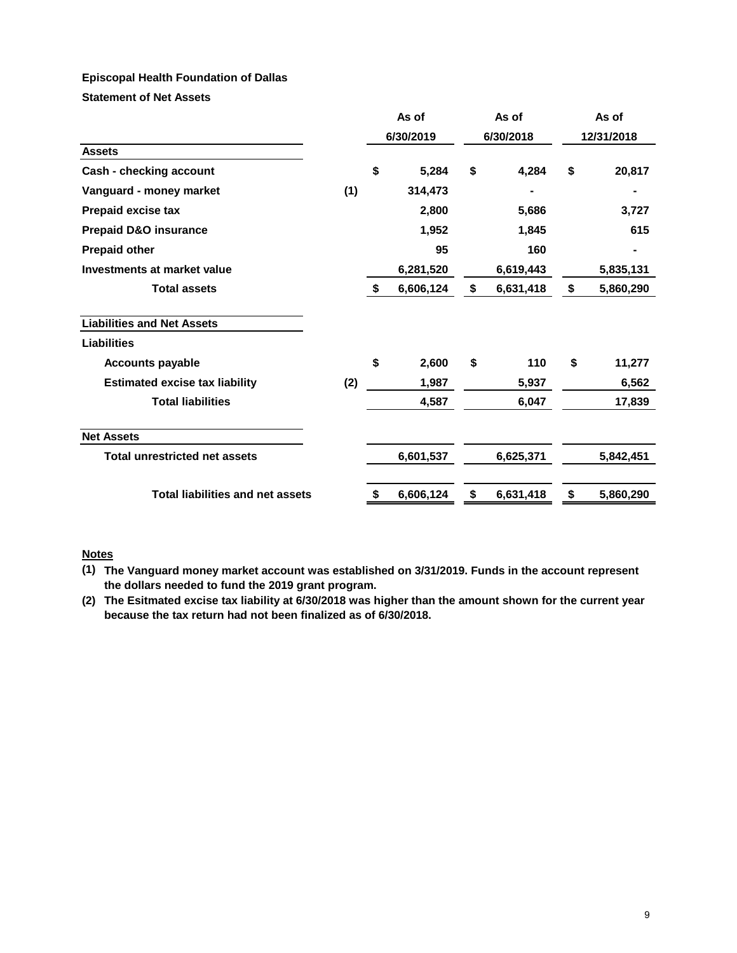#### **Episcopal Health Foundation of Dallas**

**Statement of Net Assets**

|                                         |     |           | As of     |           | As of     | As of      |           |  |
|-----------------------------------------|-----|-----------|-----------|-----------|-----------|------------|-----------|--|
|                                         |     | 6/30/2019 |           | 6/30/2018 |           | 12/31/2018 |           |  |
| <b>Assets</b>                           |     |           |           |           |           |            |           |  |
| Cash - checking account                 |     | \$        | 5,284     | \$        | 4,284     | \$         | 20,817    |  |
| Vanguard - money market                 | (1) |           | 314,473   |           |           |            |           |  |
| <b>Prepaid excise tax</b>               |     |           | 2,800     |           | 5,686     |            | 3,727     |  |
| <b>Prepaid D&amp;O insurance</b>        |     |           | 1,952     |           | 1,845     |            | 615       |  |
| <b>Prepaid other</b>                    |     |           | 95        |           | 160       |            | ۰         |  |
| <b>Investments at market value</b>      |     |           | 6,281,520 |           | 6,619,443 |            | 5,835,131 |  |
| <b>Total assets</b>                     |     | \$        | 6,606,124 | \$        | 6,631,418 | \$         | 5,860,290 |  |
| <b>Liabilities and Net Assets</b>       |     |           |           |           |           |            |           |  |
| <b>Liabilities</b>                      |     |           |           |           |           |            |           |  |
| <b>Accounts payable</b>                 |     | \$        | 2,600     | \$        | 110       | \$         | 11,277    |  |
| <b>Estimated excise tax liability</b>   | (2) |           | 1,987     |           | 5,937     |            | 6,562     |  |
| <b>Total liabilities</b>                |     |           | 4,587     |           | 6,047     |            | 17,839    |  |
| <b>Net Assets</b>                       |     |           |           |           |           |            |           |  |
| <b>Total unrestricted net assets</b>    |     |           | 6,601,537 |           | 6,625,371 |            | 5,842,451 |  |
| <b>Total liabilities and net assets</b> |     | \$        | 6,606,124 | \$        | 6,631,418 | \$         | 5,860,290 |  |

# **Notes**

**(1) The Vanguard money market account was established on 3/31/2019. Funds in the account represent the dollars needed to fund the 2019 grant program.** 

**(2) The Esitmated excise tax liability at 6/30/2018 was higher than the amount shown for the current year because the tax return had not been finalized as of 6/30/2018.**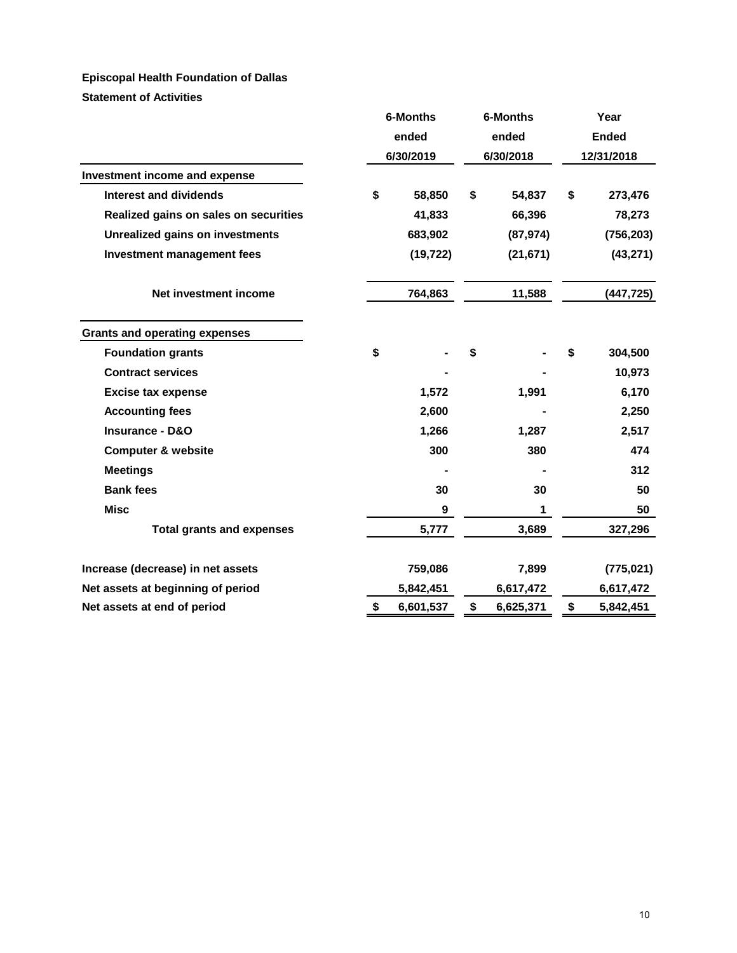# **Episcopal Health Foundation of Dallas**

**Statement of Activities**

|                                        | 6-Months<br>ended<br>6/30/2019 |           | 6-Months<br>ended<br>6/30/2018 |           | Year<br><b>Ended</b><br>12/31/2018 |            |
|----------------------------------------|--------------------------------|-----------|--------------------------------|-----------|------------------------------------|------------|
| Investment income and expense          |                                |           |                                |           |                                    |            |
| Interest and dividends                 | \$                             | 58,850    | \$                             | 54,837    | \$                                 | 273,476    |
| Realized gains on sales on securities  |                                | 41,833    |                                | 66,396    |                                    | 78,273     |
| <b>Unrealized gains on investments</b> |                                | 683,902   |                                | (87, 974) |                                    | (756, 203) |
| <b>Investment management fees</b>      |                                | (19, 722) |                                | (21, 671) |                                    | (43, 271)  |
| Net investment income                  |                                | 764,863   |                                | 11,588    |                                    | (447, 725) |
| <b>Grants and operating expenses</b>   |                                |           |                                |           |                                    |            |
| <b>Foundation grants</b>               | \$                             |           | \$                             |           | \$                                 | 304,500    |
| <b>Contract services</b>               |                                |           |                                |           |                                    | 10,973     |
| <b>Excise tax expense</b>              |                                | 1,572     |                                | 1,991     |                                    | 6,170      |
| <b>Accounting fees</b>                 |                                | 2,600     |                                |           |                                    | 2,250      |
| <b>Insurance - D&amp;O</b>             |                                | 1,266     |                                | 1,287     |                                    | 2,517      |
| <b>Computer &amp; website</b>          |                                | 300       |                                | 380       |                                    | 474        |
| <b>Meetings</b>                        |                                |           |                                |           |                                    | 312        |
| <b>Bank fees</b>                       |                                | 30        |                                | 30        |                                    | 50         |
| <b>Misc</b>                            |                                | 9         |                                | 1         |                                    | 50         |
| <b>Total grants and expenses</b>       |                                | 5,777     |                                | 3,689     |                                    | 327,296    |
| Increase (decrease) in net assets      |                                | 759,086   |                                | 7,899     |                                    | (775, 021) |
| Net assets at beginning of period      |                                | 5,842,451 |                                | 6,617,472 |                                    | 6,617,472  |
| Net assets at end of period            | \$                             | 6,601,537 | \$                             | 6,625,371 | \$                                 | 5,842,451  |